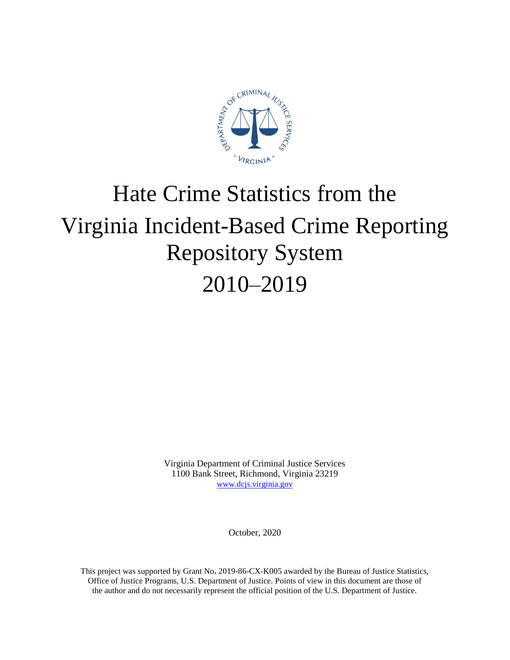

# Hate Crime Statistics from the Virginia Incident-Based Crime Reporting Repository System 2010–2019

Virginia Department of Criminal Justice Services 1100 Bank Street, Richmond, Virginia 23219 [www.dcjs.virginia.gov](https://www.dcjs.virginia.gov/)

October, 2020

This project was supported by Grant No**.** 2019-86-CX-K005 awarded by the Bureau of Justice Statistics, Office of Justice Programs, U.S. Department of Justice. Points of view in this document are those of the author and do not necessarily represent the official position of the U.S. Department of Justice.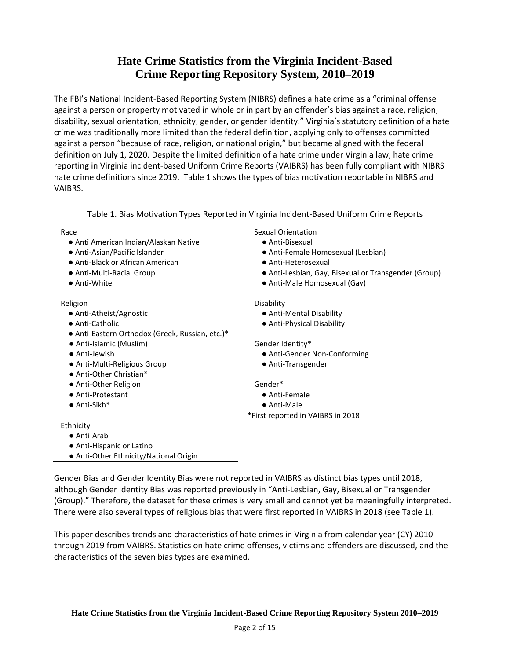## **Hate Crime Statistics from the Virginia Incident-Based Crime Reporting Repository System, 2010–2019**

The FBI's National Incident-Based Reporting System (NIBRS) defines a hate crime as a "criminal offense against a person or property motivated in whole or in part by an offender's bias against a race, religion, disability, sexual orientation, ethnicity, gender, or gender identity." Virginia's statutory definition of a hate crime was traditionally more limited than the federal definition, applying only to offenses committed against a person "because of race, religion, or national origin," but became aligned with the federal definition on July 1, 2020. Despite the limited definition of a hate crime under Virginia law, hate crime reporting in Virginia incident-based Uniform Crime Reports (VAIBRS) has been fully compliant with NIBRS hate crime definitions since 2019. Table 1 shows the types of bias motivation reportable in NIBRS and VAIBRS.

Table 1. Bias Motivation Types Reported in Virginia Incident-Based Uniform Crime Reports

| Race                                            | Sexual Orientation                                   |
|-------------------------------------------------|------------------------------------------------------|
| • Anti American Indian/Alaskan Native           | • Anti-Bisexual                                      |
| • Anti-Asian/Pacific Islander                   | • Anti-Female Homosexual (Lesbian)                   |
| • Anti-Black or African American                | • Anti-Heterosexual                                  |
| • Anti-Multi-Racial Group                       | • Anti-Lesbian, Gay, Bisexual or Transgender (Group) |
| • Anti-White                                    | • Anti-Male Homosexual (Gay)                         |
| Religion                                        | Disability                                           |
| • Anti-Atheist/Agnostic                         | • Anti-Mental Disability                             |
| • Anti-Catholic                                 | • Anti-Physical Disability                           |
| • Anti-Eastern Orthodox (Greek, Russian, etc.)* |                                                      |
| • Anti-Islamic (Muslim)                         | Gender Identity*                                     |
| • Anti-Jewish                                   | • Anti-Gender Non-Conforming                         |
| • Anti-Multi-Religious Group                    | • Anti-Transgender                                   |
| • Anti-Other Christian*                         |                                                      |
| • Anti-Other Religion                           | Gender*                                              |
| • Anti-Protestant                               | • Anti-Female                                        |
| $\bullet$ Anti-Sikh*                            | $\bullet$ Anti-Male                                  |
|                                                 | *First reported in VAIBRS in 2018                    |
| Ethnicity                                       |                                                      |
| $\bullet$ Anti-Arab                             |                                                      |
| • Anti-Hispanic or Latino                       |                                                      |

Gender Bias and Gender Identity Bias were not reported in VAIBRS as distinct bias types until 2018, although Gender Identity Bias was reported previously in "Anti-Lesbian, Gay, Bisexual or Transgender (Group)." Therefore, the dataset for these crimes is very small and cannot yet be meaningfully interpreted. There were also several types of religious bias that were first reported in VAIBRS in 2018 (see Table 1).

● Anti-Other Ethnicity/National Origin

This paper describes trends and characteristics of hate crimes in Virginia from calendar year (CY) 2010 through 2019 from VAIBRS. Statistics on hate crime offenses, victims and offenders are discussed, and the characteristics of the seven bias types are examined.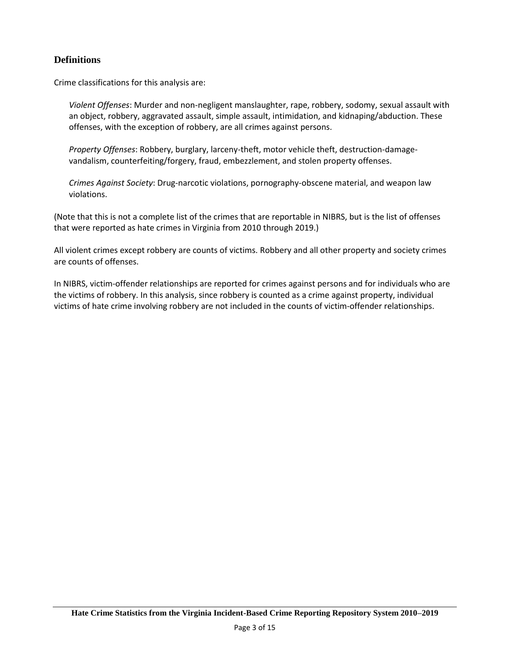## **Definitions**

Crime classifications for this analysis are:

*Violent Offenses*: Murder and non-negligent manslaughter, rape, robbery, sodomy, sexual assault with an object, robbery, aggravated assault, simple assault, intimidation, and kidnaping/abduction. These offenses, with the exception of robbery, are all crimes against persons.

*Property Offenses*: Robbery, burglary, larceny-theft, motor vehicle theft, destruction-damagevandalism, counterfeiting/forgery, fraud, embezzlement, and stolen property offenses.

*Crimes Against Society*: Drug-narcotic violations, pornography-obscene material, and weapon law violations.

(Note that this is not a complete list of the crimes that are reportable in NIBRS, but is the list of offenses that were reported as hate crimes in Virginia from 2010 through 2019.)

All violent crimes except robbery are counts of victims. Robbery and all other property and society crimes are counts of offenses.

In NIBRS, victim-offender relationships are reported for crimes against persons and for individuals who are the victims of robbery. In this analysis, since robbery is counted as a crime against property, individual victims of hate crime involving robbery are not included in the counts of victim-offender relationships.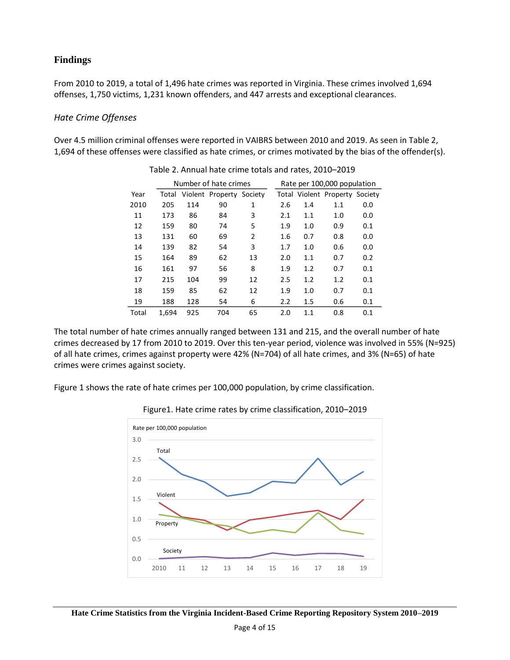## **Findings**

From 2010 to 2019, a total of 1,496 hate crimes was reported in Virginia. These crimes involved 1,694 offenses, 1,750 victims, 1,231 known offenders, and 447 arrests and exceptional clearances.

#### *Hate Crime Offenses*

Over 4.5 million criminal offenses were reported in VAIBRS between 2010 and 2019. As seen in Table 2, 1,694 of these offenses were classified as hate crimes, or crimes motivated by the bias of the offender(s).

|       |       |     | Number of hate crimes    |                |     |     | Rate per 100,000 population    |     |
|-------|-------|-----|--------------------------|----------------|-----|-----|--------------------------------|-----|
| Year  | Total |     | Violent Property Society |                |     |     | Total Violent Property Society |     |
| 2010  | 205   | 114 | 90                       | $\mathbf{1}$   | 2.6 | 1.4 | 1.1                            | 0.0 |
| 11    | 173   | 86  | 84                       | 3              | 2.1 | 1.1 | 1.0                            | 0.0 |
| 12    | 159   | 80  | 74                       | 5              | 1.9 | 1.0 | 0.9                            | 0.1 |
| 13    | 131   | 60  | 69                       | $\overline{2}$ | 1.6 | 0.7 | 0.8                            | 0.0 |
| 14    | 139   | 82  | 54                       | 3              | 1.7 | 1.0 | 0.6                            | 0.0 |
| 15    | 164   | 89  | 62                       | 13             | 2.0 | 1.1 | 0.7                            | 0.2 |
| 16    | 161   | 97  | 56                       | 8              | 1.9 | 1.2 | 0.7                            | 0.1 |
| 17    | 215   | 104 | 99                       | 12             | 2.5 | 1.2 | 1.2                            | 0.1 |
| 18    | 159   | 85  | 62                       | 12             | 1.9 | 1.0 | 0.7                            | 0.1 |
| 19    | 188   | 128 | 54                       | 6              | 2.2 | 1.5 | 0.6                            | 0.1 |
| Total | 1,694 | 925 | 704                      | 65             | 2.0 | 1.1 | 0.8                            | 0.1 |

Table 2. Annual hate crime totals and rates, 2010–2019

The total number of hate crimes annually ranged between 131 and 215, and the overall number of hate crimes decreased by 17 from 2010 to 2019. Over this ten-year period, violence was involved in 55% (N=925) of all hate crimes, crimes against property were 42% (N=704) of all hate crimes, and 3% (N=65) of hate crimes were crimes against society.

Figure 1 shows the rate of hate crimes per 100,000 population, by crime classification.



Figure1. Hate crime rates by crime classification, 2010–2019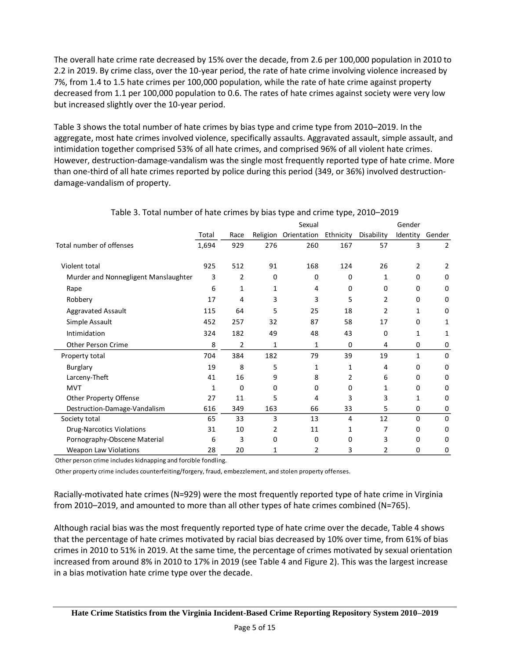The overall hate crime rate decreased by 15% over the decade, from 2.6 per 100,000 population in 2010 to 2.2 in 2019. By crime class, over the 10-year period, the rate of hate crime involving violence increased by 7%, from 1.4 to 1.5 hate crimes per 100,000 population, while the rate of hate crime against property decreased from 1.1 per 100,000 population to 0.6. The rates of hate crimes against society were very low but increased slightly over the 10-year period.

Table 3 shows the total number of hate crimes by bias type and crime type from 2010–2019. In the aggregate, most hate crimes involved violence, specifically assaults. Aggravated assault, simple assault, and intimidation together comprised 53% of all hate crimes, and comprised 96% of all violent hate crimes. However, destruction-damage-vandalism was the single most frequently reported type of hate crime. More than one-third of all hate crimes reported by police during this period (349, or 36%) involved destructiondamage-vandalism of property.

|                                      |       |      |     | Sexual               |           |            | Gender       |                |
|--------------------------------------|-------|------|-----|----------------------|-----------|------------|--------------|----------------|
|                                      | Total | Race |     | Religion Orientation | Ethnicity | Disability | Identity     | Gender         |
| Total number of offenses             | 1,694 | 929  | 276 | 260                  | 167       | 57         | 3            | $\overline{2}$ |
| Violent total                        | 925   | 512  | 91  | 168                  | 124       | 26         | 2            | 2              |
| Murder and Nonnegligent Manslaughter | 3     | 2    | 0   | 0                    | 0         | 1          | 0            | 0              |
| Rape                                 | 6     | 1    | 1   | 4                    | 0         | 0          | 0            | 0              |
| Robbery                              | 17    | 4    | 3   | 3                    | 5         | 2          | 0            | 0              |
| Aggravated Assault                   | 115   | 64   | 5   | 25                   | 18        | 2          | 1            | 0              |
| Simple Assault                       | 452   | 257  | 32  | 87                   | 58        | 17         | 0            | 1              |
| Intimidation                         | 324   | 182  | 49  | 48                   | 43        | 0          | 1            | 1              |
| Other Person Crime                   | 8     | 2    | 1   | 1                    | 0         | 4          | 0            | 0              |
| Property total                       | 704   | 384  | 182 | 79                   | 39        | 19         | $\mathbf{1}$ | 0              |
| Burglary                             | 19    | 8    | 5   | 1                    | 1         | 4          | 0            | 0              |
| Larceny-Theft                        | 41    | 16   | 9   | 8                    | 2         | 6          | 0            | 0              |
| <b>MVT</b>                           | 1     | 0    | 0   | 0                    | 0         | 1          | 0            | 0              |
| Other Property Offense               | 27    | 11   | 5   | 4                    | 3         | 3          | 1            | 0              |
| Destruction-Damage-Vandalism         | 616   | 349  | 163 | 66                   | 33        | 5          | 0            | 0              |
| Society total                        | 65    | 33   | 3   | 13                   | 4         | 12         | $\Omega$     | 0              |
| <b>Drug-Narcotics Violations</b>     | 31    | 10   | 2   | 11                   | 1         | 7          | 0            | 0              |
| Pornography-Obscene Material         | 6     | 3    | O   | 0                    | 0         | 3          | 0            | 0              |
| <b>Weapon Law Violations</b>         | 28    | 20   | 1   | 2                    | 3         | 2          | 0            | 0              |

#### Table 3. Total number of hate crimes by bias type and crime type, 2010–2019

Other person crime includes kidnapping and forcible fondling.

Other property crime includes counterfeiting/forgery, fraud, embezzlement, and stolen property offenses.

Racially-motivated hate crimes (N=929) were the most frequently reported type of hate crime in Virginia from 2010–2019, and amounted to more than all other types of hate crimes combined (N=765).

Although racial bias was the most frequently reported type of hate crime over the decade, Table 4 shows that the percentage of hate crimes motivated by racial bias decreased by 10% over time, from 61% of bias crimes in 2010 to 51% in 2019. At the same time, the percentage of crimes motivated by sexual orientation increased from around 8% in 2010 to 17% in 2019 (see Table 4 and Figure 2). This was the largest increase in a bias motivation hate crime type over the decade.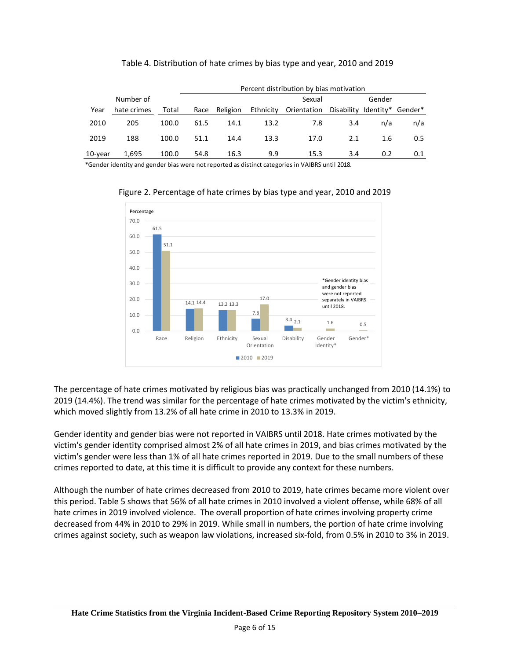|            |             |       | Percent distribution by bias motivation |          |           |             |            |           |         |  |  |
|------------|-------------|-------|-----------------------------------------|----------|-----------|-------------|------------|-----------|---------|--|--|
|            | Number of   |       |                                         |          |           | Sexual      |            | Gender    |         |  |  |
| Year       | hate crimes | Total | Race                                    | Religion | Ethnicity | Orientation | Disability | ldentitv* | Gender* |  |  |
| 2010       | 205         | 100.0 | 61.5                                    | 14.1     | 13.2      | 7.8         | 3.4        | n/a       | n/a     |  |  |
| 2019       | 188         | 100.0 | 51.1                                    | 14.4     | 13.3      | 17.0        | 2.1        | 1.6       | 0.5     |  |  |
| $10$ -year | 1,695       | 100.0 | 54.8                                    | 16.3     | 9.9       | 15.3        | 3.4        | 0.2       | 0.1     |  |  |

Table 4. Distribution of hate crimes by bias type and year, 2010 and 2019

\*Gender identity and gender bias were not reported as distinct categories in VAIBRS until 2018.



Figure 2. Percentage of hate crimes by bias type and year, 2010 and 2019

The percentage of hate crimes motivated by religious bias was practically unchanged from 2010 (14.1%) to 2019 (14.4%). The trend was similar for the percentage of hate crimes motivated by the victim's ethnicity, which moved slightly from 13.2% of all hate crime in 2010 to 13.3% in 2019.

Gender identity and gender bias were not reported in VAIBRS until 2018. Hate crimes motivated by the victim's gender identity comprised almost 2% of all hate crimes in 2019, and bias crimes motivated by the victim's gender were less than 1% of all hate crimes reported in 2019. Due to the small numbers of these crimes reported to date, at this time it is difficult to provide any context for these numbers.

Although the number of hate crimes decreased from 2010 to 2019, hate crimes became more violent over this period. Table 5 shows that 56% of all hate crimes in 2010 involved a violent offense, while 68% of all hate crimes in 2019 involved violence. The overall proportion of hate crimes involving property crime decreased from 44% in 2010 to 29% in 2019. While small in numbers, the portion of hate crime involving crimes against society, such as weapon law violations, increased six-fold, from 0.5% in 2010 to 3% in 2019.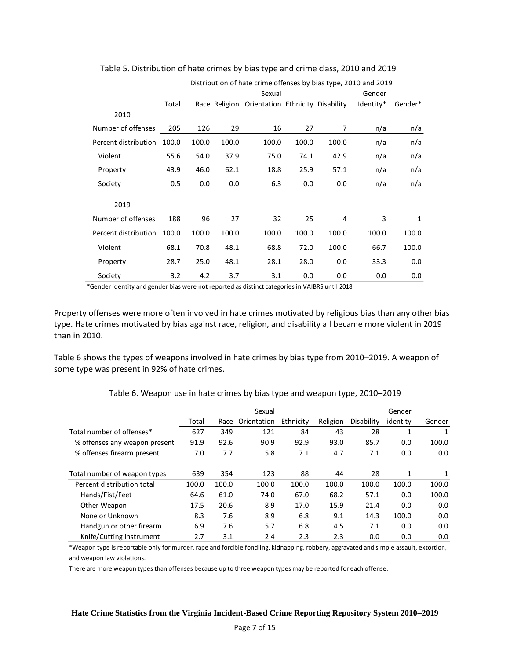|                      |       | Distribution of hate crime offenses by bias type, 2010 and 2019 |       |                                                |       |       |           |         |  |  |  |
|----------------------|-------|-----------------------------------------------------------------|-------|------------------------------------------------|-------|-------|-----------|---------|--|--|--|
|                      |       | Sexual<br>Gender                                                |       |                                                |       |       |           |         |  |  |  |
|                      | Total |                                                                 |       | Race Religion Orientation Ethnicity Disability |       |       | Identity* | Gender* |  |  |  |
| 2010                 |       |                                                                 |       |                                                |       |       |           |         |  |  |  |
| Number of offenses   | 205   | 126                                                             | 29    | 16                                             | 27    | 7     | n/a       | n/a     |  |  |  |
| Percent distribution | 100.0 | 100.0                                                           | 100.0 | 100.0                                          | 100.0 | 100.0 | n/a       | n/a     |  |  |  |
| Violent              | 55.6  | 54.0                                                            | 37.9  | 75.0                                           | 74.1  | 42.9  | n/a       | n/a     |  |  |  |
| Property             | 43.9  | 46.0                                                            | 62.1  | 18.8                                           | 25.9  | 57.1  | n/a       | n/a     |  |  |  |
| Society              | 0.5   | 0.0                                                             | 0.0   | 6.3                                            | 0.0   | 0.0   | n/a       | n/a     |  |  |  |
| 2019                 |       |                                                                 |       |                                                |       |       |           |         |  |  |  |
| Number of offenses   | 188   | 96                                                              | 27    | 32                                             | 25    | 4     | 3         | 1       |  |  |  |
| Percent distribution | 100.0 | 100.0                                                           | 100.0 | 100.0                                          | 100.0 | 100.0 | 100.0     | 100.0   |  |  |  |
| Violent              | 68.1  | 70.8                                                            | 48.1  | 68.8                                           | 72.0  | 100.0 | 66.7      | 100.0   |  |  |  |
| Property             | 28.7  | 25.0                                                            | 48.1  | 28.1                                           | 28.0  | 0.0   | 33.3      | 0.0     |  |  |  |
| Society              | 3.2   | 4.2                                                             | 3.7   | 3.1                                            | 0.0   | 0.0   | 0.0       | 0.0     |  |  |  |

Table 5. Distribution of hate crimes by bias type and crime class, 2010 and 2019

\*Gender identity and gender bias were not reported as distinct categories in VAIBRS until 2018.

Property offenses were more often involved in hate crimes motivated by religious bias than any other bias type. Hate crimes motivated by bias against race, religion, and disability all became more violent in 2019 than in 2010.

Table 6 shows the types of weapons involved in hate crimes by bias type from 2010–2019. A weapon of some type was present in 92% of hate crimes.

|                               |       |       | Sexual      |           |          |            | Gender       |        |
|-------------------------------|-------|-------|-------------|-----------|----------|------------|--------------|--------|
|                               | Total | Race  | Orientation | Ethnicity | Religion | Disability | identity     | Gender |
| Total number of offenses*     | 627   | 349   | 121         | 84        | 43       | 28         | $\mathbf{1}$ |        |
| % offenses any weapon present | 91.9  | 92.6  | 90.9        | 92.9      | 93.0     | 85.7       | 0.0          | 100.0  |
| % offenses firearm present    | 7.0   | 7.7   | 5.8         | 7.1       | 4.7      | 7.1        | 0.0          | 0.0    |
| Total number of weapon types  | 639   | 354   | 123         | 88        | 44       | 28         | 1            | 1      |
| Percent distribution total    | 100.0 | 100.0 | 100.0       | 100.0     | 100.0    | 100.0      | 100.0        | 100.0  |
| Hands/Fist/Feet               | 64.6  | 61.0  | 74.0        | 67.0      | 68.2     | 57.1       | 0.0          | 100.0  |
| Other Weapon                  | 17.5  | 20.6  | 8.9         | 17.0      | 15.9     | 21.4       | 0.0          | 0.0    |
| None or Unknown               | 8.3   | 7.6   | 8.9         | 6.8       | 9.1      | 14.3       | 100.0        | 0.0    |
| Handgun or other firearm      | 6.9   | 7.6   | 5.7         | 6.8       | 4.5      | 7.1        | 0.0          | 0.0    |
| Knife/Cutting Instrument      | 2.7   | 3.1   | 2.4         | 2.3       | 2.3      | 0.0        | 0.0          | 0.0    |

Table 6. Weapon use in hate crimes by bias type and weapon type, 2010–2019

\*Weapon type is reportable only for murder, rape and forcible fondling, kidnapping, robbery, aggravated and simple assault, extortion, and weapon law violations.

There are more weapon types than offenses because up to three weapon types may be reported for each offense.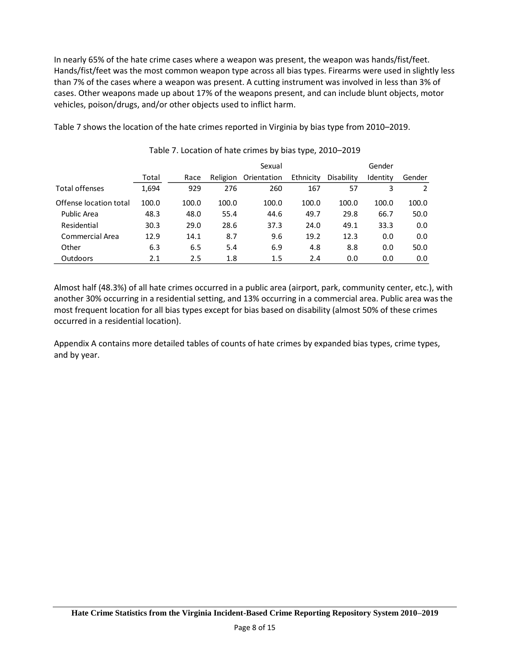In nearly 65% of the hate crime cases where a weapon was present, the weapon was hands/fist/feet. Hands/fist/feet was the most common weapon type across all bias types. Firearms were used in slightly less than 7% of the cases where a weapon was present. A cutting instrument was involved in less than 3% of cases. Other weapons made up about 17% of the weapons present, and can include blunt objects, motor vehicles, poison/drugs, and/or other objects used to inflict harm.

Table 7 shows the location of the hate crimes reported in Virginia by bias type from 2010–2019.

|                        |       |       |          | Sexual      |           |            | Gender   |        |
|------------------------|-------|-------|----------|-------------|-----------|------------|----------|--------|
|                        | Total | Race  | Religion | Orientation | Ethnicity | Disability | Identity | Gender |
| <b>Total offenses</b>  | 1,694 | 929   | 276      | 260         | 167       | 57         | 3        | 2      |
| Offense location total | 100.0 | 100.0 | 100.0    | 100.0       | 100.0     | 100.0      | 100.0    | 100.0  |
| Public Area            | 48.3  | 48.0  | 55.4     | 44.6        | 49.7      | 29.8       | 66.7     | 50.0   |
| Residential            | 30.3  | 29.0  | 28.6     | 37.3        | 24.0      | 49.1       | 33.3     | 0.0    |
| Commercial Area        | 12.9  | 14.1  | 8.7      | 9.6         | 19.2      | 12.3       | 0.0      | 0.0    |
| Other                  | 6.3   | 6.5   | 5.4      | 6.9         | 4.8       | 8.8        | 0.0      | 50.0   |
| Outdoors               | 2.1   | 2.5   | 1.8      | 1.5         | 2.4       | 0.0        | 0.0      | 0.0    |

Table 7. Location of hate crimes by bias type, 2010–2019

Almost half (48.3%) of all hate crimes occurred in a public area (airport, park, community center, etc.), with another 30% occurring in a residential setting, and 13% occurring in a commercial area. Public area was the most frequent location for all bias types except for bias based on disability (almost 50% of these crimes occurred in a residential location).

Appendix A contains more detailed tables of counts of hate crimes by expanded bias types, crime types, and by year.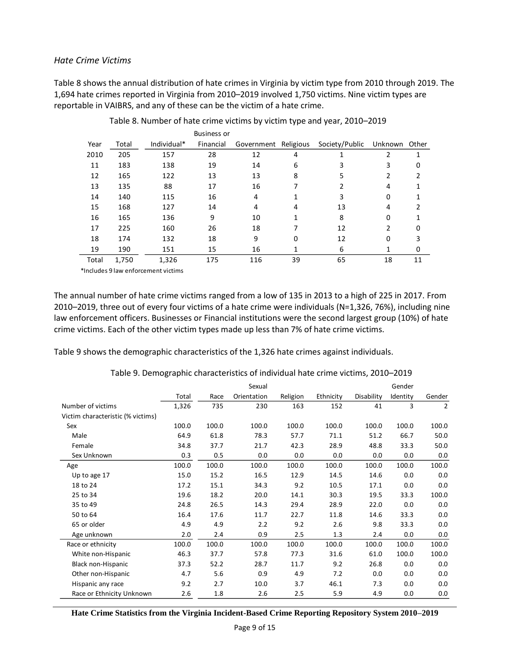#### *Hate Crime Victims*

Table 8 shows the annual distribution of hate crimes in Virginia by victim type from 2010 through 2019. The 1,694 hate crimes reported in Virginia from 2010–2019 involved 1,750 victims. Nine victim types are reportable in VAIBRS, and any of these can be the victim of a hate crime.

|       |       |             | <b>Business or</b> |                      |    |                |         |       |
|-------|-------|-------------|--------------------|----------------------|----|----------------|---------|-------|
| Year  | Total | Individual* | Financial          | Government Religious |    | Society/Public | Unknown | Other |
| 2010  | 205   | 157         | 28                 | 12                   | 4  |                | 2       | 1     |
| 11    | 183   | 138         | 19                 | 14                   | 6  | 3              | 3       | 0     |
| 12    | 165   | 122         | 13                 | 13                   | 8  | 5              | 2       | 2     |
| 13    | 135   | 88          | 17                 | 16                   | 7  | 2              | 4       | 1     |
| 14    | 140   | 115         | 16                 | 4                    | 1  | 3              | 0       | 1     |
| 15    | 168   | 127         | 14                 | 4                    | 4  | 13             | 4       | 2     |
| 16    | 165   | 136         | 9                  | 10                   | 1  | 8              | 0       |       |
| 17    | 225   | 160         | 26                 | 18                   | 7  | 12             | 2       | 0     |
| 18    | 174   | 132         | 18                 | 9                    | 0  | 12             | 0       | 3     |
| 19    | 190   | 151         | 15                 | 16                   | 1  | 6              | 1       | 0     |
| Total | 1,750 | 1,326       | 175                | 116                  | 39 | 65             | 18      | 11    |
|       |       |             |                    |                      |    |                |         |       |

Table 8. Number of hate crime victims by victim type and year, 2010–2019

\*Includes 9 law enforcement victims

The annual number of hate crime victims ranged from a low of 135 in 2013 to a high of 225 in 2017. From 2010–2019, three out of every four victims of a hate crime were individuals (N=1,326, 76%), including nine law enforcement officers. Businesses or Financial institutions were the second largest group (10%) of hate crime victims. Each of the other victim types made up less than 7% of hate crime victims.

Table 9 shows the demographic characteristics of the 1,326 hate crimes against individuals.

|                                   |       |       | Sexual      |          |           |            | Gender   |                |
|-----------------------------------|-------|-------|-------------|----------|-----------|------------|----------|----------------|
|                                   | Total | Race  | Orientation | Religion | Ethnicity | Disability | Identity | Gender         |
| Number of victims                 | 1,326 | 735   | 230         | 163      | 152       | 41         | 3        | $\overline{2}$ |
| Victim characteristic (% victims) |       |       |             |          |           |            |          |                |
| Sex                               | 100.0 | 100.0 | 100.0       | 100.0    | 100.0     | 100.0      | 100.0    | 100.0          |
| Male                              | 64.9  | 61.8  | 78.3        | 57.7     | 71.1      | 51.2       | 66.7     | 50.0           |
| Female                            | 34.8  | 37.7  | 21.7        | 42.3     | 28.9      | 48.8       | 33.3     | 50.0           |
| Sex Unknown                       | 0.3   | 0.5   | 0.0         | 0.0      | 0.0       | 0.0        | 0.0      | 0.0            |
| Age                               | 100.0 | 100.0 | 100.0       | 100.0    | 100.0     | 100.0      | 100.0    | 100.0          |
| Up to age 17                      | 15.0  | 15.2  | 16.5        | 12.9     | 14.5      | 14.6       | 0.0      | 0.0            |
| 18 to 24                          | 17.2  | 15.1  | 34.3        | 9.2      | 10.5      | 17.1       | 0.0      | 0.0            |
| 25 to 34                          | 19.6  | 18.2  | 20.0        | 14.1     | 30.3      | 19.5       | 33.3     | 100.0          |
| 35 to 49                          | 24.8  | 26.5  | 14.3        | 29.4     | 28.9      | 22.0       | 0.0      | 0.0            |
| 50 to 64                          | 16.4  | 17.6  | 11.7        | 22.7     | 11.8      | 14.6       | 33.3     | 0.0            |
| 65 or older                       | 4.9   | 4.9   | 2.2         | 9.2      | 2.6       | 9.8        | 33.3     | 0.0            |
| Age unknown                       | 2.0   | 2.4   | 0.9         | 2.5      | 1.3       | 2.4        | 0.0      | 0.0            |
| Race or ethnicity                 | 100.0 | 100.0 | 100.0       | 100.0    | 100.0     | 100.0      | 100.0    | 100.0          |
| White non-Hispanic                | 46.3  | 37.7  | 57.8        | 77.3     | 31.6      | 61.0       | 100.0    | 100.0          |
| Black non-Hispanic                | 37.3  | 52.2  | 28.7        | 11.7     | 9.2       | 26.8       | 0.0      | 0.0            |
| Other non-Hispanic                | 4.7   | 5.6   | 0.9         | 4.9      | 7.2       | 0.0        | 0.0      | 0.0            |
| Hispanic any race                 | 9.2   | 2.7   | 10.0        | 3.7      | 46.1      | 7.3        | 0.0      | 0.0            |
| Race or Ethnicity Unknown         | 2.6   | 1.8   | 2.6         | 2.5      | 5.9       | 4.9        | 0.0      | 0.0            |

Table 9. Demographic characteristics of individual hate crime victims, 2010–2019

**Hate Crime Statistics from the Virginia Incident-Based Crime Reporting Repository System 2010–2019**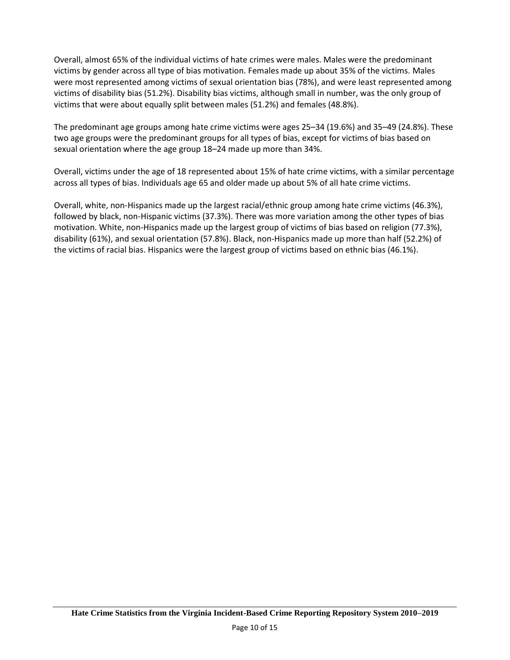Overall, almost 65% of the individual victims of hate crimes were males. Males were the predominant victims by gender across all type of bias motivation. Females made up about 35% of the victims. Males were most represented among victims of sexual orientation bias (78%), and were least represented among victims of disability bias (51.2%). Disability bias victims, although small in number, was the only group of victims that were about equally split between males (51.2%) and females (48.8%).

The predominant age groups among hate crime victims were ages 25–34 (19.6%) and 35–49 (24.8%). These two age groups were the predominant groups for all types of bias, except for victims of bias based on sexual orientation where the age group 18–24 made up more than 34%.

Overall, victims under the age of 18 represented about 15% of hate crime victims, with a similar percentage across all types of bias. Individuals age 65 and older made up about 5% of all hate crime victims.

Overall, white, non-Hispanics made up the largest racial/ethnic group among hate crime victims (46.3%), followed by black, non-Hispanic victims (37.3%). There was more variation among the other types of bias motivation. White, non-Hispanics made up the largest group of victims of bias based on religion (77.3%), disability (61%), and sexual orientation (57.8%). Black, non-Hispanics made up more than half (52.2%) of the victims of racial bias. Hispanics were the largest group of victims based on ethnic bias (46.1%).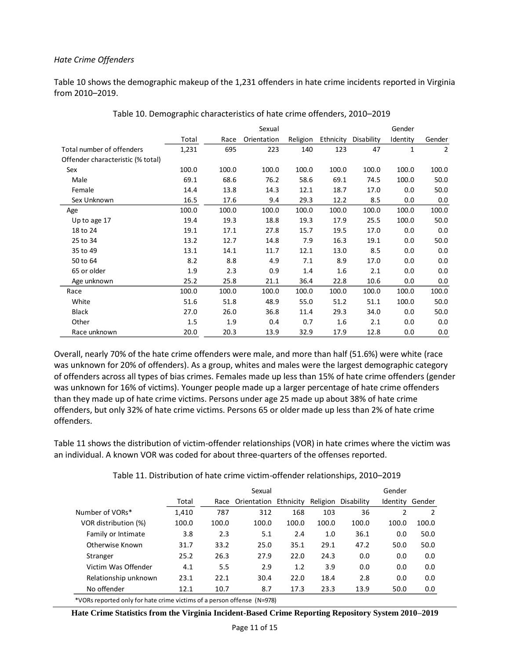#### *Hate Crime Offenders*

Table 10 shows the demographic makeup of the 1,231 offenders in hate crime incidents reported in Virginia from 2010–2019.

|                                   |       |       | Sexual      |          |           |            | Gender   |        |
|-----------------------------------|-------|-------|-------------|----------|-----------|------------|----------|--------|
|                                   | Total | Race  | Orientation | Religion | Ethnicity | Disability | Identity | Gender |
| Total number of offenders         | 1,231 | 695   | 223         | 140      | 123       | 47         | 1        | 2      |
| Offender characteristic (% total) |       |       |             |          |           |            |          |        |
| Sex                               | 100.0 | 100.0 | 100.0       | 100.0    | 100.0     | 100.0      | 100.0    | 100.0  |
| Male                              | 69.1  | 68.6  | 76.2        | 58.6     | 69.1      | 74.5       | 100.0    | 50.0   |
| Female                            | 14.4  | 13.8  | 14.3        | 12.1     | 18.7      | 17.0       | 0.0      | 50.0   |
| Sex Unknown                       | 16.5  | 17.6  | 9.4         | 29.3     | 12.2      | 8.5        | 0.0      | 0.0    |
| Age                               | 100.0 | 100.0 | 100.0       | 100.0    | 100.0     | 100.0      | 100.0    | 100.0  |
| Up to age 17                      | 19.4  | 19.3  | 18.8        | 19.3     | 17.9      | 25.5       | 100.0    | 50.0   |
| 18 to 24                          | 19.1  | 17.1  | 27.8        | 15.7     | 19.5      | 17.0       | 0.0      | 0.0    |
| 25 to 34                          | 13.2  | 12.7  | 14.8        | 7.9      | 16.3      | 19.1       | 0.0      | 50.0   |
| 35 to 49                          | 13.1  | 14.1  | 11.7        | 12.1     | 13.0      | 8.5        | 0.0      | 0.0    |
| 50 to 64                          | 8.2   | 8.8   | 4.9         | 7.1      | 8.9       | 17.0       | 0.0      | 0.0    |
| 65 or older                       | 1.9   | 2.3   | 0.9         | 1.4      | 1.6       | 2.1        | 0.0      | 0.0    |
| Age unknown                       | 25.2  | 25.8  | 21.1        | 36.4     | 22.8      | 10.6       | 0.0      | 0.0    |
| Race                              | 100.0 | 100.0 | 100.0       | 100.0    | 100.0     | 100.0      | 100.0    | 100.0  |
| White                             | 51.6  | 51.8  | 48.9        | 55.0     | 51.2      | 51.1       | 100.0    | 50.0   |
| <b>Black</b>                      | 27.0  | 26.0  | 36.8        | 11.4     | 29.3      | 34.0       | 0.0      | 50.0   |
| Other                             | 1.5   | 1.9   | 0.4         | 0.7      | 1.6       | 2.1        | 0.0      | 0.0    |
| Race unknown                      | 20.0  | 20.3  | 13.9        | 32.9     | 17.9      | 12.8       | 0.0      | 0.0    |

Table 10. Demographic characteristics of hate crime offenders, 2010–2019

Overall, nearly 70% of the hate crime offenders were male, and more than half (51.6%) were white (race was unknown for 20% of offenders). As a group, whites and males were the largest demographic category of offenders across all types of bias crimes. Females made up less than 15% of hate crime offenders (gender was unknown for 16% of victims). Younger people made up a larger percentage of hate crime offenders than they made up of hate crime victims. Persons under age 25 made up about 38% of hate crime offenders, but only 32% of hate crime victims. Persons 65 or older made up less than 2% of hate crime offenders.

Table 11 shows the distribution of victim-offender relationships (VOR) in hate crimes where the victim was an individual. A known VOR was coded for about three-quarters of the offenses reported.

|                      |       |       | Sexual                |       | Gender   |            |          |        |
|----------------------|-------|-------|-----------------------|-------|----------|------------|----------|--------|
|                      | Total | Race  | Orientation Ethnicity |       | Religion | Disability | Identity | Gender |
| Number of VORs*      | 1,410 | 787   | 312                   | 168   | 103      | 36         | 2        | 2      |
| VOR distribution (%) | 100.0 | 100.0 | 100.0                 | 100.0 | 100.0    | 100.0      | 100.0    | 100.0  |
| Family or Intimate   | 3.8   | 2.3   | 5.1                   | 2.4   | 1.0      | 36.1       | 0.0      | 50.0   |
| Otherwise Known      | 31.7  | 33.2  | 25.0                  | 35.1  | 29.1     | 47.2       | 50.0     | 50.0   |
| Stranger             | 25.2  | 26.3  | 27.9                  | 22.0  | 24.3     | 0.0        | 0.0      | 0.0    |
| Victim Was Offender  | 4.1   | 5.5   | 2.9                   | 1.2   | 3.9      | 0.0        | 0.0      | 0.0    |
| Relationship unknown | 23.1  | 22.1  | 30.4                  | 22.0  | 18.4     | 2.8        | 0.0      | 0.0    |
| No offender          | 12.1  | 10.7  | 8.7                   | 17.3  | 23.3     | 13.9       | 50.0     | 0.0    |
|                      |       |       |                       |       |          |            |          |        |

Table 11. Distribution of hate crime victim-offender relationships, 2010–2019

\*VORs reported only for hate crime victims of a person offense (N=978)

**Hate Crime Statistics from the Virginia Incident-Based Crime Reporting Repository System 2010–2019**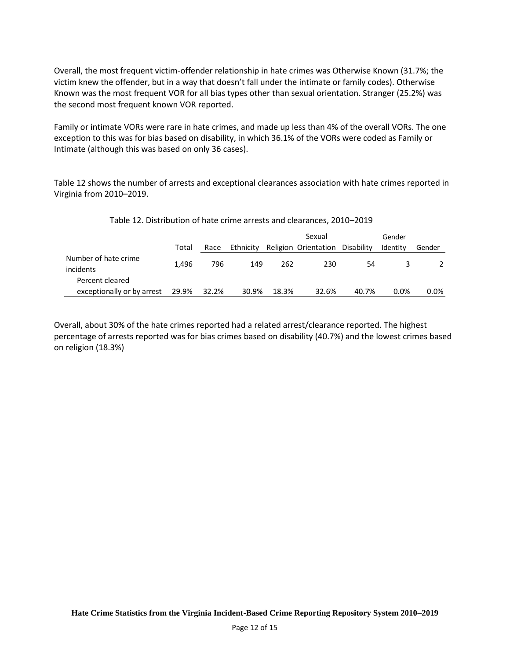Overall, the most frequent victim-offender relationship in hate crimes was Otherwise Known (31.7%; the victim knew the offender, but in a way that doesn't fall under the intimate or family codes). Otherwise Known was the most frequent VOR for all bias types other than sexual orientation. Stranger (25.2%) was the second most frequent known VOR reported.

Family or intimate VORs were rare in hate crimes, and made up less than 4% of the overall VORs. The one exception to this was for bias based on disability, in which 36.1% of the VORs were coded as Family or Intimate (although this was based on only 36 cases).

Table 12 shows the number of arrests and exceptional clearances association with hate crimes reported in Virginia from 2010–2019.

| Table 12. Distribution of hate crime arrests and clearances, 2010-2019 |  |  |
|------------------------------------------------------------------------|--|--|
|                                                                        |  |  |

|                                   |       |       |           |       | Sexual                          | Gender |          |         |
|-----------------------------------|-------|-------|-----------|-------|---------------------------------|--------|----------|---------|
|                                   | Total | Race  | Ethnicity |       | Religion Orientation Disability |        | Identity | Gender  |
| Number of hate crime<br>incidents | 1.496 | 796   | 149       | 262   | 230                             | 54     |          |         |
| Percent cleared                   |       |       |           |       |                                 |        |          |         |
| exceptionally or by arrest        | 29.9% | 32.2% | 30.9%     | 18.3% | 32.6%                           | 40.7%  | 0.0%     | $0.0\%$ |

Overall, about 30% of the hate crimes reported had a related arrest/clearance reported. The highest percentage of arrests reported was for bias crimes based on disability (40.7%) and the lowest crimes based on religion (18.3%)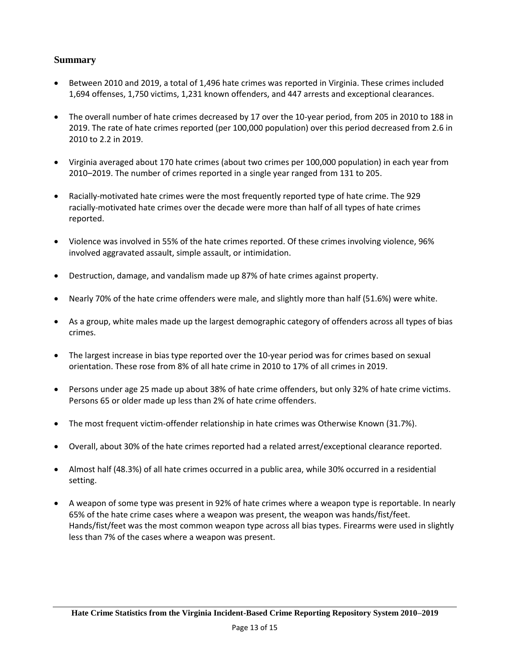## **Summary**

- Between 2010 and 2019, a total of 1,496 hate crimes was reported in Virginia. These crimes included 1,694 offenses, 1,750 victims, 1,231 known offenders, and 447 arrests and exceptional clearances.
- The overall number of hate crimes decreased by 17 over the 10-year period, from 205 in 2010 to 188 in 2019. The rate of hate crimes reported (per 100,000 population) over this period decreased from 2.6 in 2010 to 2.2 in 2019.
- Virginia averaged about 170 hate crimes (about two crimes per 100,000 population) in each year from 2010–2019. The number of crimes reported in a single year ranged from 131 to 205.
- Racially-motivated hate crimes were the most frequently reported type of hate crime. The 929 racially-motivated hate crimes over the decade were more than half of all types of hate crimes reported.
- Violence was involved in 55% of the hate crimes reported. Of these crimes involving violence, 96% involved aggravated assault, simple assault, or intimidation.
- Destruction, damage, and vandalism made up 87% of hate crimes against property.
- Nearly 70% of the hate crime offenders were male, and slightly more than half (51.6%) were white.
- As a group, white males made up the largest demographic category of offenders across all types of bias crimes.
- The largest increase in bias type reported over the 10-year period was for crimes based on sexual orientation. These rose from 8% of all hate crime in 2010 to 17% of all crimes in 2019.
- Persons under age 25 made up about 38% of hate crime offenders, but only 32% of hate crime victims. Persons 65 or older made up less than 2% of hate crime offenders.
- The most frequent victim-offender relationship in hate crimes was Otherwise Known (31.7%).
- Overall, about 30% of the hate crimes reported had a related arrest/exceptional clearance reported.
- Almost half (48.3%) of all hate crimes occurred in a public area, while 30% occurred in a residential setting.
- A weapon of some type was present in 92% of hate crimes where a weapon type is reportable. In nearly 65% of the hate crime cases where a weapon was present, the weapon was hands/fist/feet. Hands/fist/feet was the most common weapon type across all bias types. Firearms were used in slightly less than 7% of the cases where a weapon was present.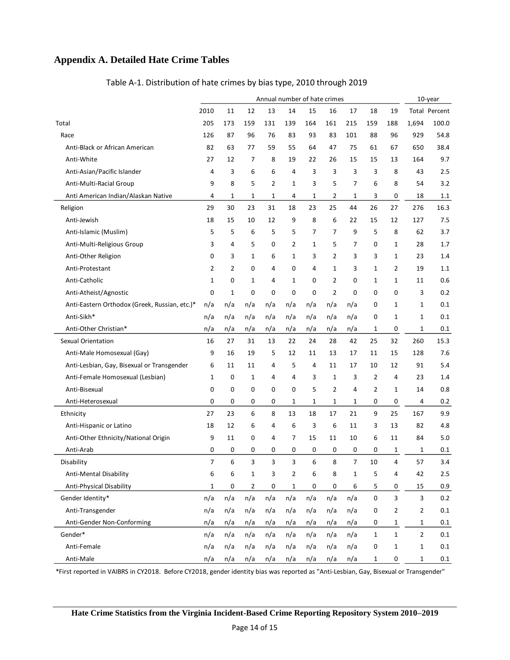## **Appendix A. Detailed Hate Crime Tables**

|                                               | Annual number of hate crimes |                |                |                |             |     |                |     |                |                | 10-year        |                      |
|-----------------------------------------------|------------------------------|----------------|----------------|----------------|-------------|-----|----------------|-----|----------------|----------------|----------------|----------------------|
|                                               | 2010                         | 11             | 12             | 13             | 14          | 15  | 16             | 17  | 18             | 19             |                | <b>Total Percent</b> |
| Total                                         | 205                          | 173            | 159            | 131            | 139         | 164 | 161            | 215 | 159            | 188            | 1,694          | 100.0                |
| Race                                          | 126                          | 87             | 96             | 76             | 83          | 93  | 83             | 101 | 88             | 96             | 929            | 54.8                 |
| Anti-Black or African American                | 82                           | 63             | 77             | 59             | 55          | 64  | 47             | 75  | 61             | 67             | 650            | 38.4                 |
| Anti-White                                    | 27                           | 12             | 7              | 8              | 19          | 22  | 26             | 15  | 15             | 13             | 164            | 9.7                  |
| Anti-Asian/Pacific Islander                   | 4                            | 3              | 6              | 6              | 4           | 3   | 3              | 3   | 3              | 8              | 43             | 2.5                  |
| Anti-Multi-Racial Group                       | 9                            | 8              | 5              | $\overline{2}$ | 1           | 3   | 5              | 7   | 6              | 8              | 54             | 3.2                  |
| Anti American Indian/Alaskan Native           | 4                            | 1              | 1              | 1              | 4           | 1   | 2              | 1   | 3              | 0              | 18             | 1.1                  |
| Religion                                      | 29                           | 30             | 23             | 31             | 18          | 23  | 25             | 44  | 26             | 27             | 276            | 16.3                 |
| Anti-Jewish                                   | 18                           | 15             | 10             | 12             | 9           | 8   | 6              | 22  | 15             | 12             | 127            | 7.5                  |
| Anti-Islamic (Muslim)                         | 5                            | 5              | 6              | 5              | 5           | 7   | 7              | 9   | 5              | 8              | 62             | 3.7                  |
| Anti-Multi-Religious Group                    | 3                            | 4              | 5              | 0              | 2           | 1   | 5              | 7   | 0              | 1              | 28             | 1.7                  |
| Anti-Other Religion                           | 0                            | 3              | $\mathbf{1}$   | 6              | 1           | 3   | 2              | 3   | 3              | 1              | 23             | 1.4                  |
| Anti-Protestant                               | 2                            | $\overline{2}$ | 0              | 4              | 0           | 4   | 1              | 3   | $\mathbf{1}$   | 2              | 19             | 1.1                  |
| Anti-Catholic                                 | 1                            | 0              | $\mathbf{1}$   | 4              | 1           | 0   | $\overline{2}$ | 0   | 1              | 1              | 11             | 0.6                  |
| Anti-Atheist/Agnostic                         | $\mathbf 0$                  | $\mathbf 1$    | $\mathbf 0$    | 0              | $\mathbf 0$ | 0   | 2              | 0   | $\mathbf 0$    | 0              | 3              | 0.2                  |
| Anti-Eastern Orthodox (Greek, Russian, etc.)* | n/a                          | n/a            | n/a            | n/a            | n/a         | n/a | n/a            | n/a | 0              | 1              | 1              | 0.1                  |
| Anti-Sikh*                                    | n/a                          | n/a            | n/a            | n/a            | n/a         | n/a | n/a            | n/a | 0              | 1              | $\mathbf 1$    | 0.1                  |
| Anti-Other Christian*                         | n/a                          | n/a            | n/a            | n/a            | n/a         | n/a | n/a            | n/a | 1              | 0              | 1              | 0.1                  |
| Sexual Orientation                            | 16                           | 27             | 31             | 13             | 22          | 24  | 28             | 42  | 25             | 32             | 260            | 15.3                 |
| Anti-Male Homosexual (Gay)                    | 9                            | 16             | 19             | 5              | 12          | 11  | 13             | 17  | 11             | 15             | 128            | 7.6                  |
| Anti-Lesbian, Gay, Bisexual or Transgender    | 6                            | 11             | 11             | 4              | 5           | 4   | 11             | 17  | 10             | 12             | 91             | 5.4                  |
| Anti-Female Homosexual (Lesbian)              | $\mathbf{1}$                 | 0              | $\mathbf{1}$   | 4              | 4           | 3   | 1              | 3   | $\overline{2}$ | 4              | 23             | 1.4                  |
| Anti-Bisexual                                 | 0                            | 0              | $\mathbf 0$    | 0              | 0           | 5   | 2              | 4   | $\overline{2}$ | 1              | 14             | 0.8                  |
| Anti-Heterosexual                             | 0                            | 0              | 0              | 0              | 1           | 1   | $\mathbf{1}$   | 1   | 0              | 0              | 4              | 0.2                  |
| Ethnicity                                     | 27                           | 23             | 6              | 8              | 13          | 18  | 17             | 21  | 9              | 25             | 167            | 9.9                  |
| Anti-Hispanic or Latino                       | 18                           | 12             | 6              | 4              | 6           | 3   | 6              | 11  | 3              | 13             | 82             | 4.8                  |
| Anti-Other Ethnicity/National Origin          | 9                            | 11             | 0              | 4              | 7           | 15  | 11             | 10  | 6              | 11             | 84             | 5.0                  |
| Anti-Arab                                     | 0                            | 0              | 0              | 0              | 0           | 0   | 0              | 0   | 0              | 1              | 1              | 0.1                  |
| Disability                                    | $\overline{7}$               | 6              | 3              | 3              | 3           | 6   | 8              | 7   | 10             | 4              | 57             | 3.4                  |
| Anti-Mental Disability                        | 6                            | 6              | 1              | 3              | 2           | 6   | 8              | 1   | 5              | 4              | 42             | 2.5                  |
| Anti-Physical Disability                      | $\mathbf{1}$                 | 0              | $\overline{2}$ | 0              | 1           | 0   | 0              | 6   | 5              | 0              | 15             | 0.9                  |
| Gender Identity*                              | n/a                          | n/a            | n/a            | n/a            | n/a         | n/a | n/a            | n/a | $\pmb{0}$      | 3              | 3              | 0.2                  |
| Anti-Transgender                              | n/a                          | n/a            | n/a            | n/a            | n/a         | n/a | n/a            | n/a | 0              | $\overline{2}$ | $\overline{2}$ | 0.1                  |
| Anti-Gender Non-Conforming                    | n/a                          | n/a            | n/a            | n/a            | n/a         | n/a | n/a            | n/a | 0              | 1              | $\mathbf{1}$   | 0.1                  |
| Gender*                                       | n/a                          | n/a            | n/a            | n/a            | n/a         | n/a | n/a            | n/a | $\mathbf 1$    | $\mathbf 1$    | $\overline{2}$ | $0.1\,$              |
| Anti-Female                                   | n/a                          | n/a            | n/a            | n/a            | n/a         | n/a | n/a            | n/a | 0              | $\mathbf{1}$   | $\mathbf{1}$   | 0.1                  |

#### Table A-1. Distribution of hate crimes by bias type, 2010 through 2019

\*First reported in VAIBRS in CY2018. Before CY2018, gender identity bias was reported as "Anti-Lesbian, Gay, Bisexual or Transgender"

Anti-Male 2010 10 10 10 10 10 10 1/a n/a n/a n/a n/a n/a n/a n/a 1 0 1 0.1